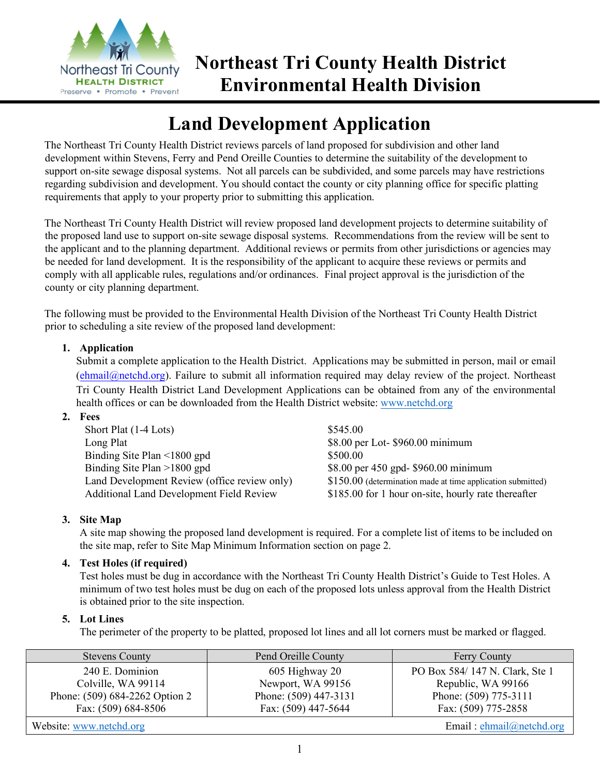

## **Northeast Tri County Health District Environmental Health Division**

# **Land Development Application**

The Northeast Tri County Health District reviews parcels of land proposed for subdivision and other land development within Stevens, Ferry and Pend Oreille Counties to determine the suitability of the development to support on-site sewage disposal systems. Not all parcels can be subdivided, and some parcels may have restrictions regarding subdivision and development. You should contact the county or city planning office for specific platting requirements that apply to your property prior to submitting this application.

The Northeast Tri County Health District will review proposed land development projects to determine suitability of the proposed land use to support on-site sewage disposal systems. Recommendations from the review will be sent to the applicant and to the planning department. Additional reviews or permits from other jurisdictions or agencies may be needed for land development. It is the responsibility of the applicant to acquire these reviews or permits and comply with all applicable rules, regulations and/or ordinances. Final project approval is the jurisdiction of the county or city planning department.

The following must be provided to the Environmental Health Division of the Northeast Tri County Health District prior to scheduling a site review of the proposed land development:

### **1. Application**

Submit a complete application to the Health District. Applications may be submitted in person, mail or email (ehmail@netchd.org). Failure to submit all information required may delay review of the project. Northeast Tri County Health District Land Development Applications can be obtained from any of the environmental health offices or can be downloaded from the Health District website: www.netchd.org

#### **2. Fees**

| Short Plat (1-4 Lots)                           | \$545.00                                                     |
|-------------------------------------------------|--------------------------------------------------------------|
| Long Plat                                       | \$8.00 per Lot-\$960.00 minimum                              |
| Binding Site Plan $\leq 1800$ gpd               | \$500.00                                                     |
| Binding Site Plan $>1800$ gpd                   | \$8.00 per 450 gpd- \$960.00 minimum                         |
| Land Development Review (office review only)    | $$150.00$ (determination made at time application submitted) |
| <b>Additional Land Development Field Review</b> | \$185.00 for 1 hour on-site, hourly rate thereafter          |

#### **3. Site Map**

A site map showing the proposed land development is required. For a complete list of items to be included on the site map, refer to Site Map Minimum Information section on page 2.

#### **4. Test Holes (if required)**

Test holes must be dug in accordance with the Northeast Tri County Health District's Guide to Test Holes. A minimum of two test holes must be dug on each of the proposed lots unless approval from the Health District is obtained prior to the site inspection.

#### **5. Lot Lines**

The perimeter of the property to be platted, proposed lot lines and all lot corners must be marked or flagged.

| <b>Stevens County</b>          | Pend Oreille County   | <b>Ferry County</b>            |
|--------------------------------|-----------------------|--------------------------------|
| 240 E. Dominion                | 605 Highway 20        | PO Box 584/147 N. Clark, Ste 1 |
| Colville, WA 99114             | Newport, WA 99156     | Republic, WA 99166             |
| Phone: (509) 684-2262 Option 2 | Phone: (509) 447-3131 | Phone: (509) 775-3111          |
| Fax: (509) 684-8506            | Fax: (509) 447-5644   | Fax: (509) 775-2858            |
| Website: www.netchd.org        |                       | Email: $ehmail@netchd.org$     |